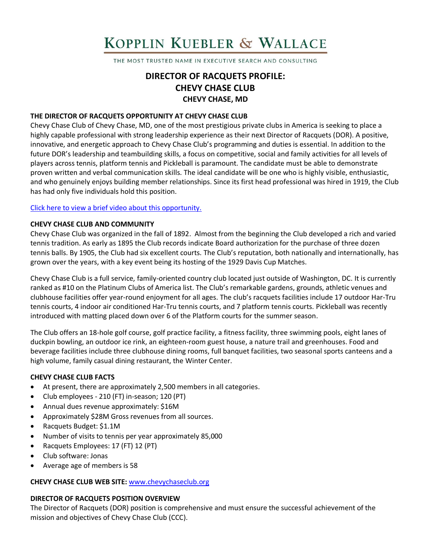# KOPPLIN KUEBLER & WALLACE

THE MOST TRUSTED NAME IN EXECUTIVE SEARCH AND CONSULTING

## **DIRECTOR OF RACQUETS PROFILE: CHEVY CHASE CLUB CHEVY CHASE, MD**

## **THE DIRECTOR OF RACQUETS OPPORTUNITY AT CHEVY CHASE CLUB**

Chevy Chase Club of Chevy Chase, MD, one of the most prestigious private clubs in America is seeking to place a highly capable professional with strong leadership experience as their next Director of Racquets (DOR). A positive, innovative, and energetic approach to Chevy Chase Club's programming and duties is essential. In addition to the future DOR's leadership and teambuilding skills, a focus on competitive, social and family activities for all levels of players across tennis, platform tennis and Pickleball is paramount. The candidate must be able to demonstrate proven written and verbal communication skills. The ideal candidate will be one who is highly visible, enthusiastic, and who genuinely enjoys building member relationships. Since its first head professional was hired in 1919, the Club has had only five individuals hold this position.

#### [Click here to view a brief video about this opportunity.](https://www.youtube.com/watch?v=a4eEYA8bG9Q)

#### **CHEVY CHASE CLUB AND COMMUNITY**

Chevy Chase Club was organized in the fall of 1892. Almost from the beginning the Club developed a rich and varied tennis tradition. As early as 1895 the Club records indicate Board authorization for the purchase of three dozen tennis balls. By 1905, the Club had six excellent courts. The Club's reputation, both nationally and internationally, has grown over the years, with a key event being its hosting of the 1929 Davis Cup Matches.

Chevy Chase Club is a full service, family-oriented country club located just outside of Washington, DC. It is currently ranked as #10 on the Platinum Clubs of America list. The Club's remarkable gardens, grounds, athletic venues and clubhouse facilities offer year-round enjoyment for all ages. The club's racquets facilities include 17 outdoor Har-Tru tennis courts, 4 indoor air conditioned Har-Tru tennis courts, and 7 platform tennis courts. Pickleball was recently introduced with matting placed down over 6 of the Platform courts for the summer season.

The Club offers an 18-hole golf course, golf practice facility, a fitness facility, three swimming pools, eight lanes of duckpin bowling, an outdoor ice rink, an eighteen-room guest house, a nature trail and greenhouses. Food and beverage facilities include three clubhouse dining rooms, full banquet facilities, two seasonal sports canteens and a high volume, family casual dining restaurant, the Winter Center.

#### **CHEVY CHASE CLUB FACTS**

- At present, there are approximately 2,500 members in all categories.
- Club employees 210 (FT) in-season; 120 (PT)
- Annual dues revenue approximately: \$16M
- Approximately \$28M Gross revenues from all sources.
- Racquets Budget: \$1.1M
- Number of visits to tennis per year approximately 85,000
- Racquets Employees: 17 (FT) 12 (PT)
- Club software: Jonas
- Average age of members is 58

#### **CHEVY CHASE CLUB WEB SITE:** [www.chevychaseclub.org](http://www.chevychaseclub.org/)

#### **DIRECTOR OF RACQUETS POSITION OVERVIEW**

The Director of Racquets (DOR) position is comprehensive and must ensure the successful achievement of the mission and objectives of Chevy Chase Club (CCC).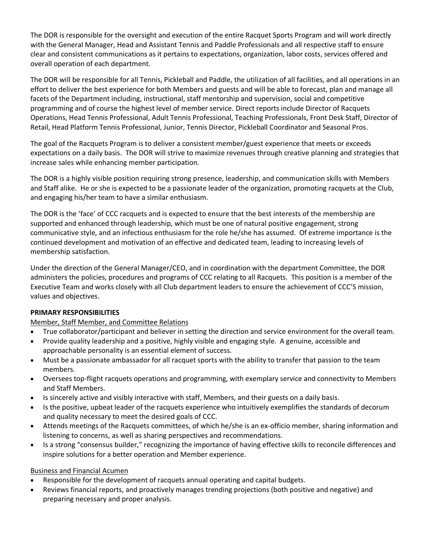The DOR is responsible for the oversight and execution of the entire Racquet Sports Program and will work directly with the General Manager, Head and Assistant Tennis and Paddle Professionals and all respective staff to ensure clear and consistent communications as it pertains to expectations, organization, labor costs, services offered and overall operation of each department.

The DOR will be responsible for all Tennis, Pickleball and Paddle, the utilization of all facilities, and all operations in an effort to deliver the best experience for both Members and guests and will be able to forecast, plan and manage all facets of the Department including, instructional, staff mentorship and supervision, social and competitive programming and of course the highest level of member service. Direct reports include Director of Racquets Operations, Head Tennis Professional, Adult Tennis Professional, Teaching Professionals, Front Desk Staff, Director of Retail, Head Platform Tennis Professional, Junior, Tennis Director, Pickleball Coordinator and Seasonal Pros.

The goal of the Racquets Program is to deliver a consistent member/guest experience that meets or exceeds expectations on a daily basis. The DOR will strive to maximize revenues through creative planning and strategies that increase sales while enhancing member participation.

The DOR is a highly visible position requiring strong presence, leadership, and communication skills with Members and Staff alike. He or she is expected to be a passionate leader of the organization, promoting racquets at the Club, and engaging his/her team to have a similar enthusiasm.

The DOR is the 'face' of CCC racquets and is expected to ensure that the best interests of the membership are supported and enhanced through leadership, which must be one of natural positive engagement, strong communicative style, and an infectious enthusiasm for the role he/she has assumed. Of extreme importance is the continued development and motivation of an effective and dedicated team, leading to increasing levels of membership satisfaction.

Under the direction of the General Manager/CEO, and in coordination with the department Committee, the DOR administers the policies, procedures and programs of CCC relating to all Racquets. This position is a member of the Executive Team and works closely with all Club department leaders to ensure the achievement of CCC'S mission, values and objectives.

## **PRIMARY RESPONSIBILITIES**

## Member, Staff Member, and Committee Relations

- True collaborator/participant and believer in setting the direction and service environment for the overall team.
- Provide quality leadership and a positive, highly visible and engaging style. A genuine, accessible and approachable personality is an essential element of success.
- Must be a passionate ambassador for all racquet sports with the ability to transfer that passion to the team members.
- Oversees top-flight racquets operations and programming, with exemplary service and connectivity to Members and Staff Members.
- Is sincerely active and visibly interactive with staff, Members, and their guests on a daily basis.
- Is the positive, upbeat leader of the racquets experience who intuitively exemplifies the standards of decorum and quality necessary to meet the desired goals of CCC.
- Attends meetings of the Racquets committees, of which he/she is an ex-officio member, sharing information and listening to concerns, as well as sharing perspectives and recommendations.
- Is a strong "consensus builder," recognizing the importance of having effective skills to reconcile differences and inspire solutions for a better operation and Member experience.

## Business and Financial Acumen

- Responsible for the development of racquets annual operating and capital budgets.
- Reviews financial reports, and proactively manages trending projections (both positive and negative) and preparing necessary and proper analysis.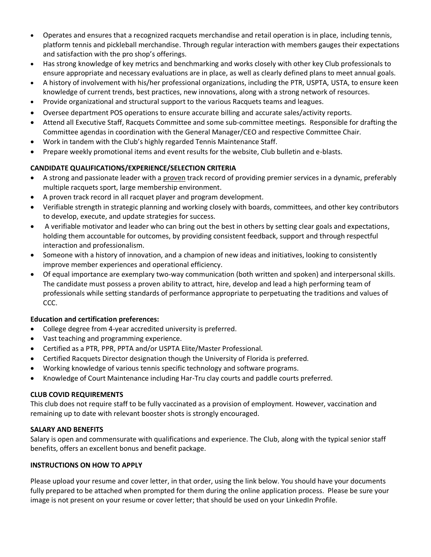- Operates and ensures that a recognized racquets merchandise and retail operation is in place, including tennis, platform tennis and pickleball merchandise. Through regular interaction with members gauges their expectations and satisfaction with the pro shop's offerings.
- Has strong knowledge of key metrics and benchmarking and works closely with other key Club professionals to ensure appropriate and necessary evaluations are in place, as well as clearly defined plans to meet annual goals.
- A history of involvement with his/her professional organizations, including the PTR, USPTA, USTA, to ensure keen knowledge of current trends, best practices, new innovations, along with a strong network of resources.
- Provide organizational and structural support to the various Racquets teams and leagues.
- Oversee department POS operations to ensure accurate billing and accurate sales/activity reports.
- Attend all Executive Staff, Racquets Committee and some sub-committee meetings. Responsible for drafting the Committee agendas in coordination with the General Manager/CEO and respective Committee Chair.
- Work in tandem with the Club's highly regarded Tennis Maintenance Staff.
- Prepare weekly promotional items and event results for the website, Club bulletin and e-blasts.

## **CANDIDATE QUALIFICATIONS/EXPERIENCE/SELECTION CRITERIA**

- A strong and passionate leader with a proven track record of providing premier services in a dynamic, preferably multiple racquets sport, large membership environment.
- A proven track record in all racquet player and program development.
- Verifiable strength in strategic planning and working closely with boards, committees, and other key contributors to develop, execute, and update strategies for success.
- A verifiable motivator and leader who can bring out the best in others by setting clear goals and expectations, holding them accountable for outcomes, by providing consistent feedback, support and through respectful interaction and professionalism.
- Someone with a history of innovation, and a champion of new ideas and initiatives, looking to consistently improve member experiences and operational efficiency.
- Of equal importance are exemplary two-way communication (both written and spoken) and interpersonal skills. The candidate must possess a proven ability to attract, hire, develop and lead a high performing team of professionals while setting standards of performance appropriate to perpetuating the traditions and values of CCC.

## **Education and certification preferences:**

- College degree from 4-year accredited university is preferred.
- Vast teaching and programming experience.
- Certified as a PTR, PPR, PPTA and/or USPTA Elite/Master Professional.
- Certified Racquets Director designation though the University of Florida is preferred.
- Working knowledge of various tennis specific technology and software programs.
- Knowledge of Court Maintenance including Har-Tru clay courts and paddle courts preferred.

## **CLUB COVID REQUIREMENTS**

This club does not require staff to be fully vaccinated as a provision of employment. However, vaccination and remaining up to date with relevant booster shots is strongly encouraged.

## **SALARY AND BENEFITS**

Salary is open and commensurate with qualifications and experience. The Club, along with the typical senior staff benefits, offers an excellent bonus and benefit package.

## **INSTRUCTIONS ON HOW TO APPLY**

Please upload your resume and cover letter, in that order, using the link below. You should have your documents fully prepared to be attached when prompted for them during the online application process. Please be sure your image is not present on your resume or cover letter; that should be used on your LinkedIn Profile.